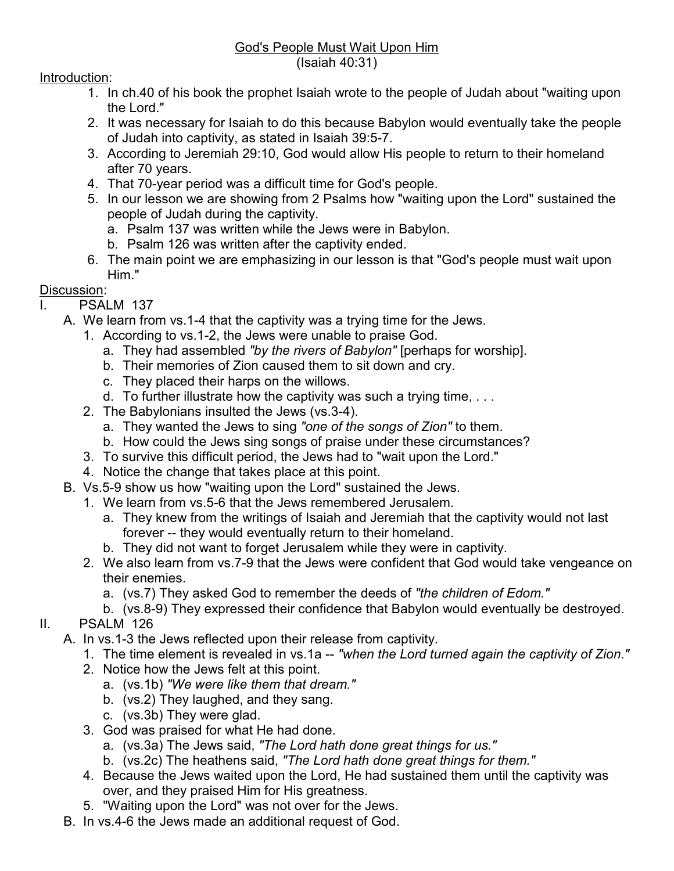## God's People Must Wait Upon Him (Isaiah 40:31)

## Introduction:

- 1. In ch.40 of his book the prophet Isaiah wrote to the people of Judah about "waiting upon the Lord."
- 2. It was necessary for Isaiah to do this because Babylon would eventually take the people of Judah into captivity, as stated in Isaiah 39:5-7.
- 3. According to Jeremiah 29:10, God would allow His people to return to their homeland after 70 years.
- 4. That 70-year period was a difficult time for God's people.
- 5. In our lesson we are showing from 2 Psalms how "waiting upon the Lord" sustained the people of Judah during the captivity.
	- a. Psalm 137 was written while the Jews were in Babylon.
	- b. Psalm 126 was written after the captivity ended.
- 6. The main point we are emphasizing in our lesson is that "God's people must wait upon Him."

## Discussion:

- I. PSALM 137
	- A. We learn from vs.1-4 that the captivity was a trying time for the Jews.
		- 1. According to vs.1-2, the Jews were unable to praise God.
			- a. They had assembled *"by the rivers of Babylon"* [perhaps for worship].
			- b. Their memories of Zion caused them to sit down and cry.
			- c. They placed their harps on the willows.
			- d. To further illustrate how the captivity was such a trying time, . . .
		- 2. The Babylonians insulted the Jews (vs.3-4).
			- a. They wanted the Jews to sing *"one of the songs of Zion"* to them.
			- b. How could the Jews sing songs of praise under these circumstances?
		- 3. To survive this difficult period, the Jews had to "wait upon the Lord."
		- 4. Notice the change that takes place at this point.
	- B. Vs.5-9 show us how "waiting upon the Lord" sustained the Jews.
		- 1. We learn from vs.5-6 that the Jews remembered Jerusalem.
			- a. They knew from the writings of Isaiah and Jeremiah that the captivity would not last forever -- they would eventually return to their homeland.
			- b. They did not want to forget Jerusalem while they were in captivity.
		- 2. We also learn from vs.7-9 that the Jews were confident that God would take vengeance on their enemies.
			- a. (vs.7) They asked God to remember the deeds of *"the children of Edom."*
- b. (vs.8-9) They expressed their confidence that Babylon would eventually be destroyed. II. PSALM 126
	- A. In vs.1-3 the Jews reflected upon their release from captivity.
		- 1. The time element is revealed in vs.1a -- *"when the Lord turned again the captivity of Zion."*
		- 2. Notice how the Jews felt at this point.
			- a. (vs.1b) *"We were like them that dream."*
			- b. (vs.2) They laughed, and they sang.
			- c. (vs.3b) They were glad.
		- 3. God was praised for what He had done.
			- a. (vs.3a) The Jews said, *"The Lord hath done great things for us."*
			- b. (vs.2c) The heathens said, *"The Lord hath done great things for them."*
		- 4. Because the Jews waited upon the Lord, He had sustained them until the captivity was over, and they praised Him for His greatness.
		- 5. "Waiting upon the Lord" was not over for the Jews.
	- B. In vs.4-6 the Jews made an additional request of God.